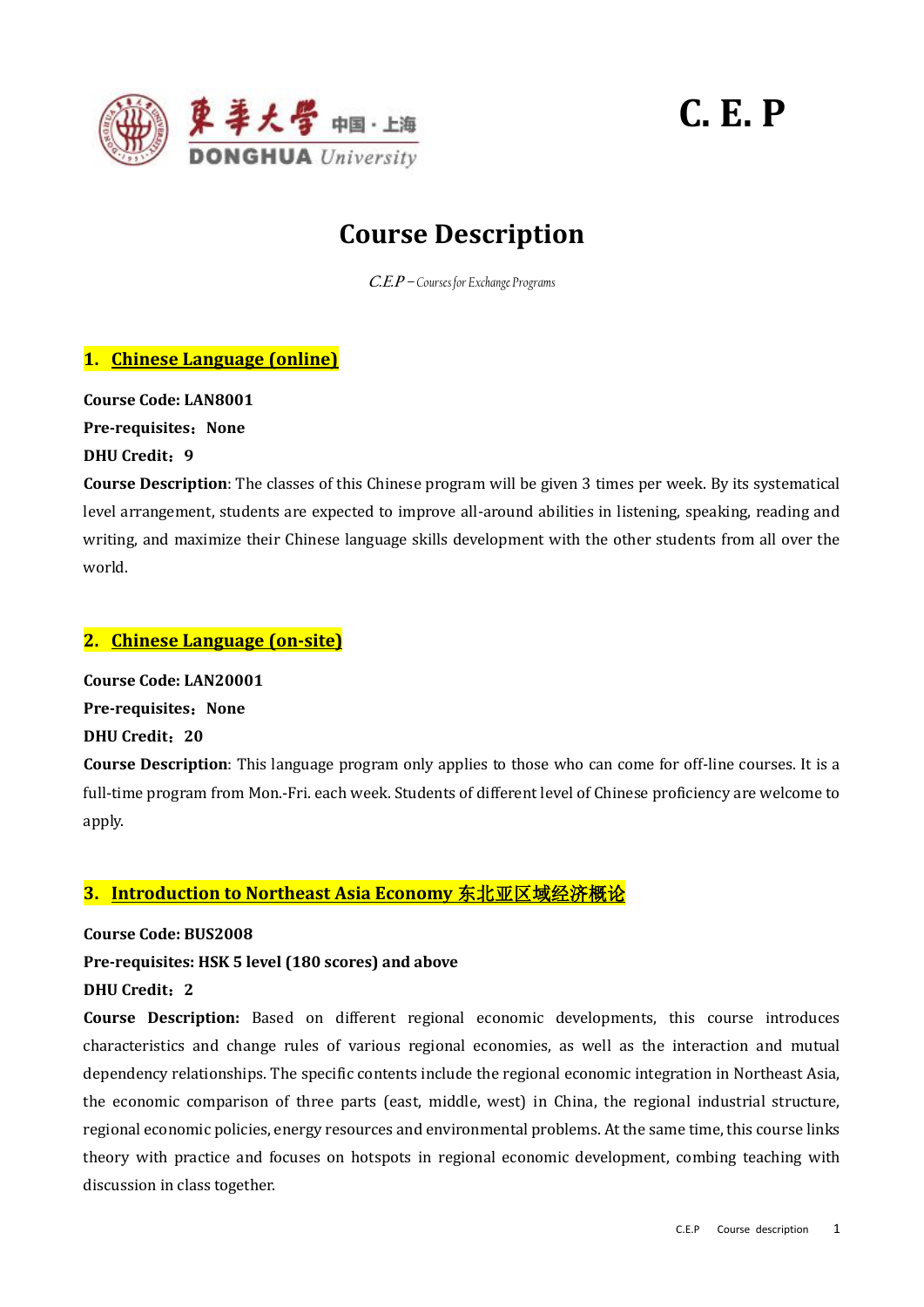

# **C. E. P**

# **Course Description**

**C.E.P –** *Courses for Exchange Programs*

# **1. Chinese Language (online)**

**Course Code: LAN8001**

**Pre-requisites**:**None**

# **DHU Credit**:**9**

**Course Description**: The classes of this Chinese program will be given 3 times per week. By its systematical level arrangement, students are expected to improve all-around abilities in listening, speaking, reading and writing, and maximize their Chinese language skills development with the other students from all over the world.

# **2. Chinese Language (on-site)**

**Course Code: LAN20001 Pre-requisites: None DHU Credit**:**20**

**Course Description**: This language program only applies to those who can come for off-line courses. It is a full-time program from Mon.-Fri. each week. Students of different level of Chinese proficiency are welcome to apply.

# **3. Introduction to Northeast Asia Economy** 东北亚区域经济概论

**Course Code: BUS2008**

**Pre-requisites: HSK 5 level (180 scores) and above**

# **DHU Credit**:**2**

**Course Description:** Based on different regional economic developments, this course introduces characteristics and change rules of various regional economies, as well as the interaction and mutual dependency relationships. The specific contents include the regional economic integration in Northeast Asia, the economic comparison of three parts (east, middle, west) in China, the regional industrial structure, regional economic policies, energy resources and environmental problems. At the same time, this course links theory with practice and focuses on hotspots in regional economic development, combing teaching with discussion in class together.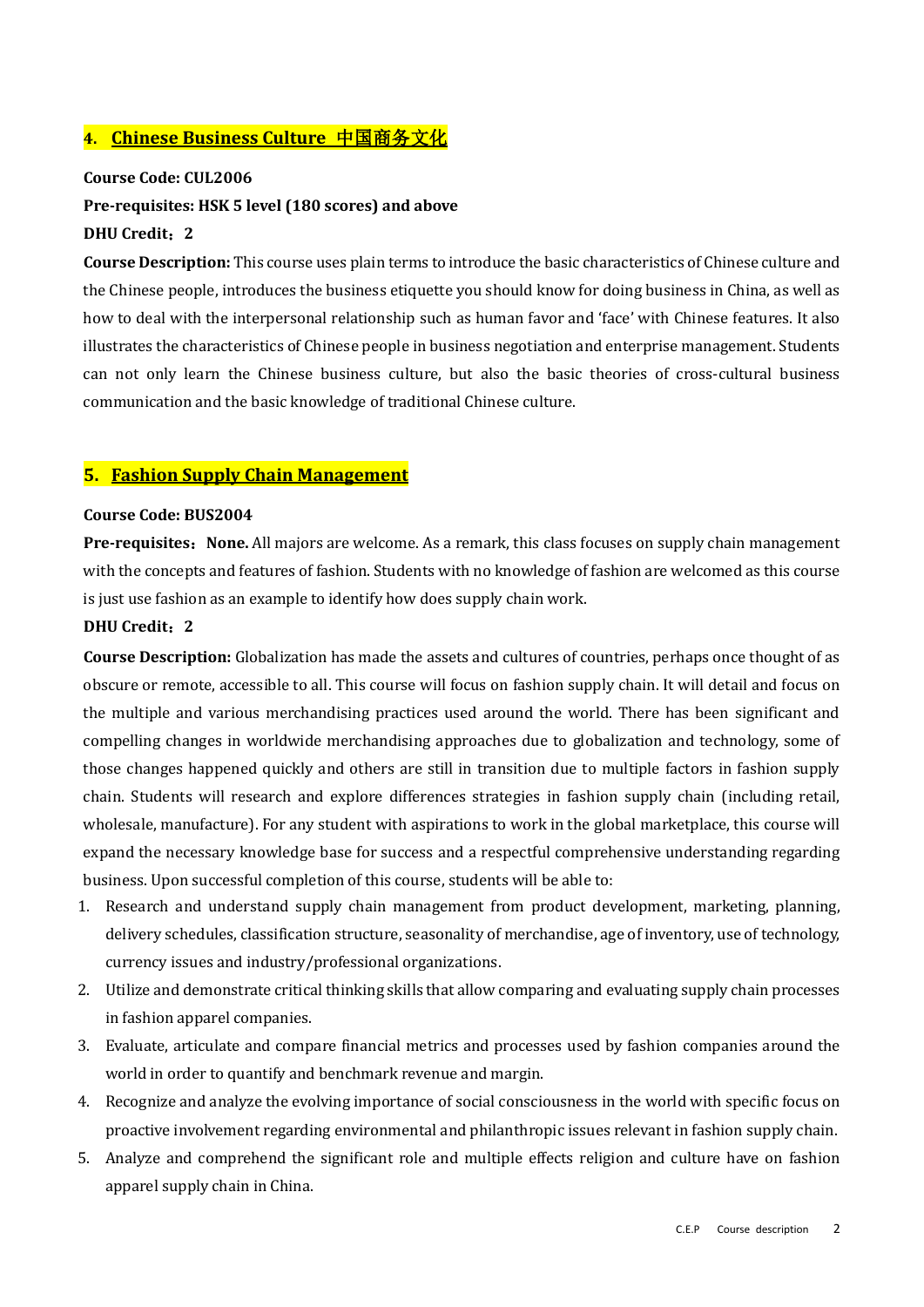# **4. Chinese Business Culture** 中国商务文化

#### **Course Code: CUL2006**

#### **Pre-requisites: HSK 5 level (180 scores) and above**

#### **DHU Credit**:**2**

**Course Description:** This course uses plain terms to introduce the basic characteristics of Chinese culture and the Chinese people, introduces the business etiquette you should know for doing business in China, as well as how to deal with the interpersonal relationship such as human favor and 'face' with Chinese features. It also illustrates the characteristics of Chinese people in business negotiation and enterprise management. Students can not only learn the Chinese business culture, but also the basic theories of cross-cultural business communication and the basic knowledge of traditional Chinese culture.

#### **5. Fashion Supply Chain Management**

#### **Course Code: BUS2004**

**Pre-requisites**:**None.** All majors are welcome. As a remark, this class focuses on supply chain management with the concepts and features of fashion. Students with no knowledge of fashion are welcomed as this course is just use fashion as an example to identify how does supply chain work.

#### **DHU Credit**:**2**

**Course Description:** Globalization has made the assets and cultures of countries, perhaps once thought of as obscure or remote, accessible to all. This course will focus on fashion supply chain. It will detail and focus on the multiple and various merchandising practices used around the world. There has been significant and compelling changes in worldwide merchandising approaches due to globalization and technology, some of those changes happened quickly and others are still in transition due to multiple factors in fashion supply chain. Students will research and explore differences strategies in fashion supply chain (including retail, wholesale, manufacture). For any student with aspirations to work in the global marketplace, this course will expand the necessary knowledge base for success and a respectful comprehensive understanding regarding business. Upon successful completion of this course, students will be able to:

- 1. Research and understand supply chain management from product development, marketing, planning, delivery schedules, classification structure, seasonality of merchandise, age of inventory, use of technology, currency issues and industry/professional organizations.
- 2. Utilize and demonstrate critical thinking skills that allow comparing and evaluating supply chain processes in fashion apparel companies.
- 3. Evaluate, articulate and compare financial metrics and processes used by fashion companies around the world in order to quantify and benchmark revenue and margin.
- 4. Recognize and analyze the evolving importance of social consciousness in the world with specific focus on proactive involvement regarding environmental and philanthropic issues relevant in fashion supply chain.
- 5. Analyze and comprehend the significant role and multiple effects religion and culture have on fashion apparel supply chain in China.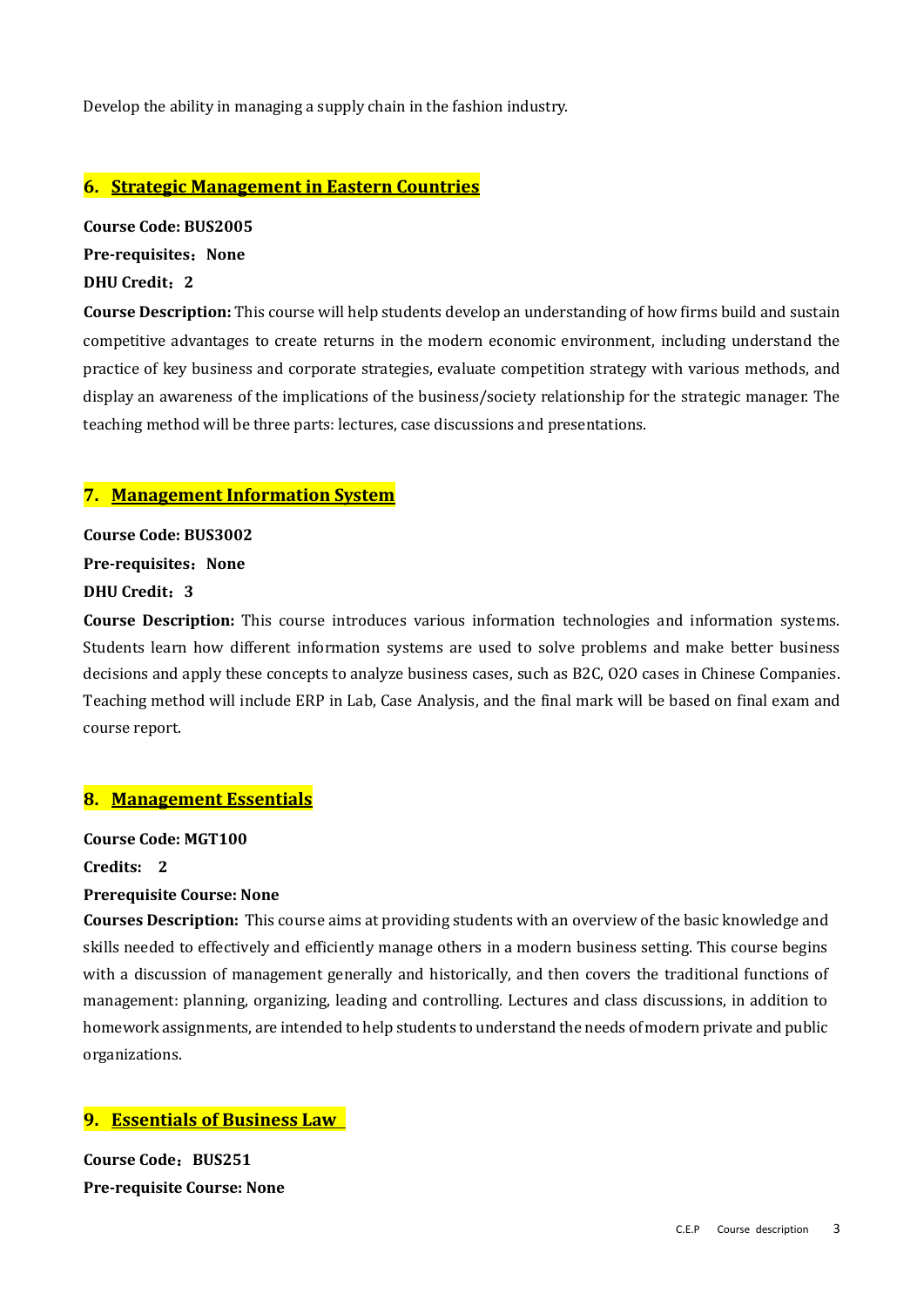Develop the ability in managing a supply chain in the fashion industry.

# **6. Strategic Management in Eastern Countries**

**Course Code: BUS2005 Pre-requisites**:**None DHU Credit**:**2**

**Course Description:** This course will help students develop an understanding of how firms build and sustain competitive advantages to create returns in the modern economic environment, including understand the practice of key business and corporate strategies, evaluate competition strategy with various methods, and display an awareness of the implications of the business/society relationship for the strategic manager. The teaching method will be three parts: lectures, case discussions and presentations.

# **7. Management Information System**

**Course Code: BUS3002**

**Pre-requisites: None** 

# **DHU Credit**:**3**

**Course Description:** This course introduces various information technologies and information systems. Students learn how different information systems are used to solve problems and make better business decisions and apply these concepts to analyze business cases, such as B2C, O2O cases in Chinese Companies. Teaching method will include ERP in Lab, Case Analysis, and the final mark will be based on final exam and course report.

# **8. Management Essentials**

**Course Code: MGT100** 

**Credits: 2** 

#### **Prerequisite Course: None**

**Courses Description:** This course aims at providing students with an overview of the basic knowledge and skills needed to effectively and efficiently manage others in a modern business setting. This course begins with a discussion of management generally and historically, and then covers the traditional functions of management: planning, organizing, leading and controlling. Lectures and class discussions, in addition to homework assignments, are intended to help students to understand the needs of modern private and public organizations.

# **9. Essentials of Business Law**

**Course Code**:**BUS251 Pre-requisite Course: None**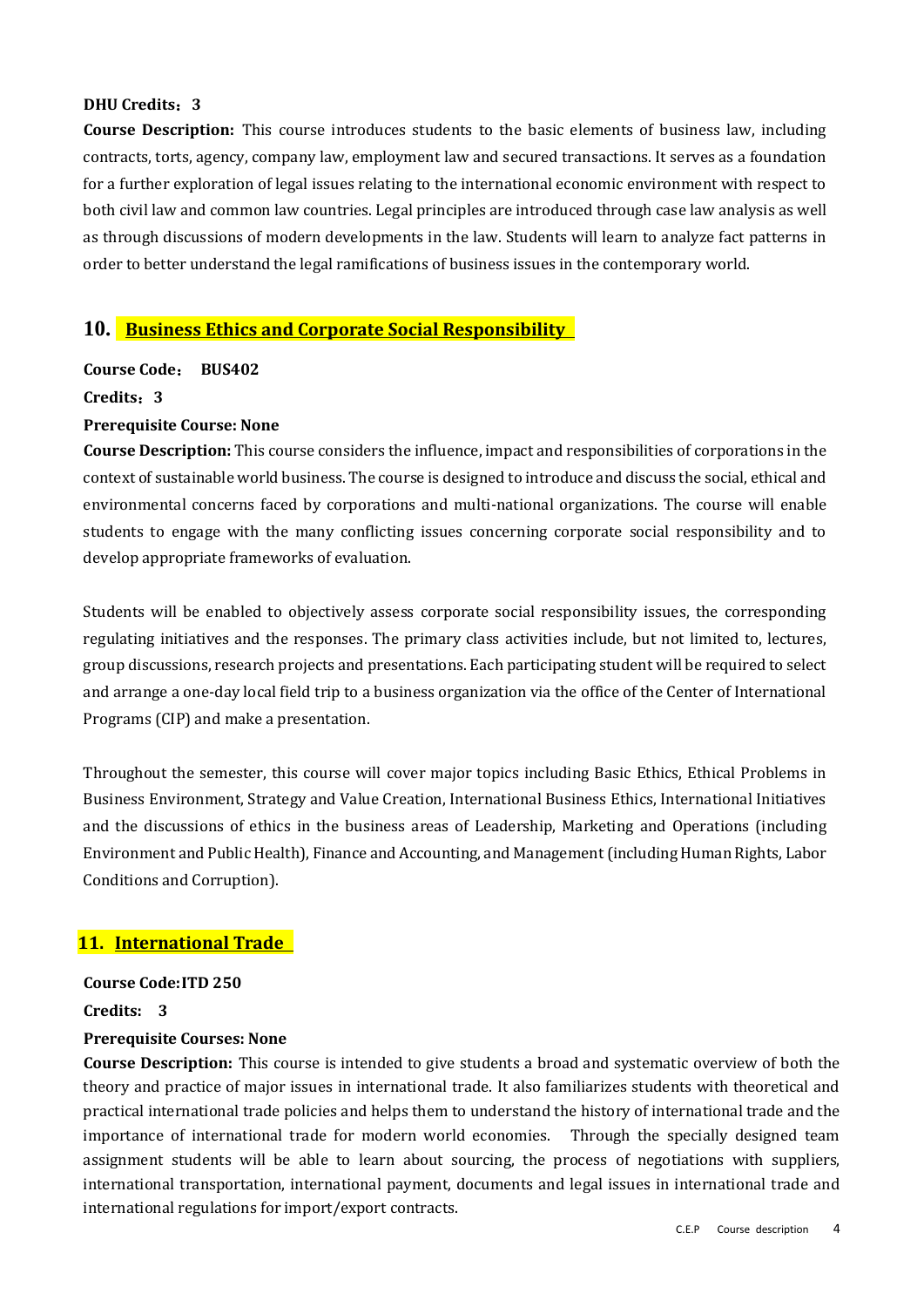#### **DHU Credits**:**3**

**Course Description:** This course introduces students to the basic elements of business law, including contracts, torts, agency, company law, employment law and secured transactions. It serves as a foundation for a further exploration of legal issues relating to the international economic environment with respect to both civil law and common law countries. Legal principles are introduced through case law analysis as well as through discussions of modern developments in the law. Students will learn to analyze fact patterns in order to better understand the legal ramifications of business issues in the contemporary world.

# **10. Business Ethics and Corporate Social Responsibility**

**Course Code**: **BUS402**

#### **Credits**:**3**

#### **Prerequisite Course: None**

**Course Description:** This course considers the influence, impact and responsibilities of corporations in the context of sustainable world business. The course is designed to introduce and discuss the social, ethical and environmental concerns faced by corporations and multi-national organizations. The course will enable students to engage with the many conflicting issues concerning corporate social responsibility and to develop appropriate frameworks of evaluation.

Students will be enabled to objectively assess corporate social responsibility issues, the corresponding regulating initiatives and the responses. The primary class activities include, but not limited to, lectures, group discussions, research projects and presentations. Each participating student will be required to select and arrange a one-day local field trip to a business organization via the office of the Center of International Programs (CIP) and make a presentation.

Throughout the semester, this course will cover major topics including Basic Ethics, Ethical Problems in Business Environment, Strategy and Value Creation, International Business Ethics, International Initiatives and the discussions of ethics in the business areas of Leadership, Marketing and Operations (including Environment and Public Health), Finance and Accounting, and Management (including Human Rights, Labor Conditions and Corruption).

# **11. International Trade**

#### **Course Code:ITD 250**

#### **Credits: 3**

#### **Prerequisite Courses: None**

**Course Description:** This course is intended to give students a broad and systematic overview of both the theory and practice of major issues in international trade. It also familiarizes students with theoretical and practical international trade policies and helps them to understand the history of international trade and the importance of international trade for modern world economies. Through the specially designed team assignment students will be able to learn about sourcing, the process of negotiations with suppliers, international transportation, international payment, documents and legal issues in international trade and international regulations for import/export contracts.